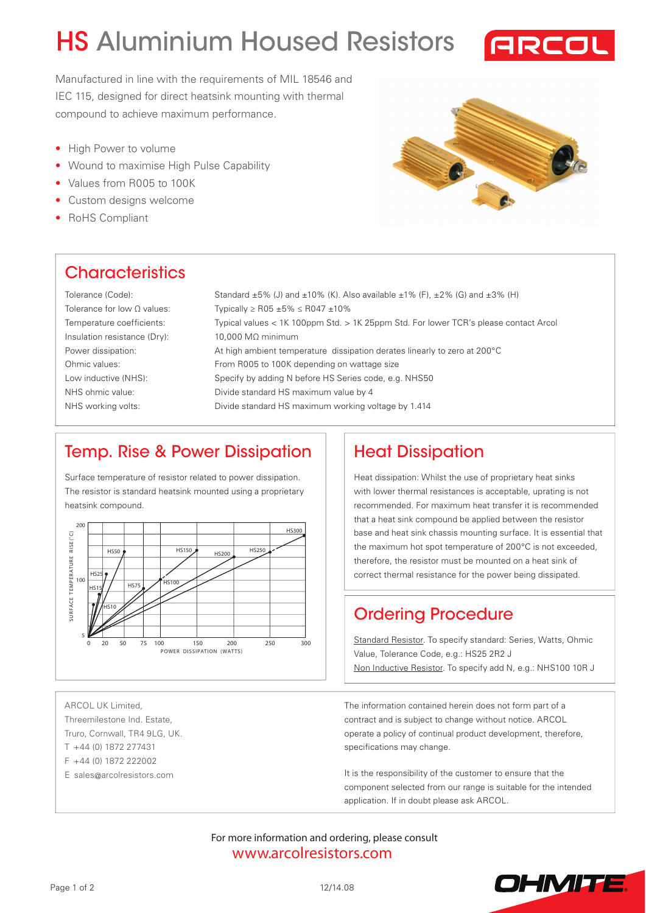# HS Aluminium Housed Resistors



Manufactured in line with the requirements of MIL 18546 and IEC 115, designed for direct heatsink mounting with thermal compound to achieve maximum performance.

- High Power to volume
- Wound to maximise High Pulse Capability
- Values from R005 to 100K
- Custom designs welcome
- RoHS Compliant



### **Characteristics**

Tolerance (Code): Tolerance for low Ω values: Temperature coefficients: Insulation resistance (Dry): Power dissipation: Ohmic values: Low inductive (NHS): NHS ohmic value: NHS working volts:

Standard  $\pm 5$ % (J) and  $\pm 10$ % (K). Also available  $\pm 1$ % (F),  $\pm 2$ % (G) and  $\pm 3$ % (H) Typically ≥ R05 ±5% ≤ R047 ±10% Typical values < 1K 100ppm Std. > 1K 25ppm Std. For lower TCR's please contact Arcol 10,000 MΩ minimum At high ambient temperature dissipation derates linearly to zero at 200°C From R005 to 100K depending on wattage size Specify by adding N before HS Series code, e.g. NHS50 Divide standard HS maximum value by 4 Divide standard HS maximum working voltage by 1.414

#### Temp. Rise & Power Dissipation

Surface temperature of resistor related to power dissipation. The resistor is standard heatsink mounted using a proprietary heatsink compound.



Heat Dissipation

Heat dissipation: Whilst the use of proprietary heat sinks with lower thermal resistances is acceptable, uprating is not recommended. For maximum heat transfer it is recommended that a heat sink compound be applied between the resistor base and heat sink chassis mounting surface. It is essential that the maximum hot spot temperature of 200°C is not exceeded, therefore, the resistor must be mounted on a heat sink of correct thermal resistance for the power being dissipated.

## Ordering Procedure

Standard Resistor. To specify standard: Series, Watts, Ohmic Value, Tolerance Code, e.g.: HS25 2R2 J Non Inductive Resistor. To specify add N, e.g.: NHS100 10R J

ARCOL UK Limited, Threemilestone Ind. Estate, Truro, Cornwall, TR4 9LG, UK. T +44 (0) 1872 277431

- F +44 (0) 1872 222002
- E sales@arcolresistors.com

The information contained herein does not form part of a contract and is subject to change without notice. ARCOL operate a policy of continual product development, therefore, specifications may change.

It is the responsibility of the customer to ensure that the component selected from our range is suitable for the intended application. If in doubt please ask ARCOL.

[www.arcolresistors.com](http://www.arcolresistors.com/resistors/) For more information and ordering, please consult